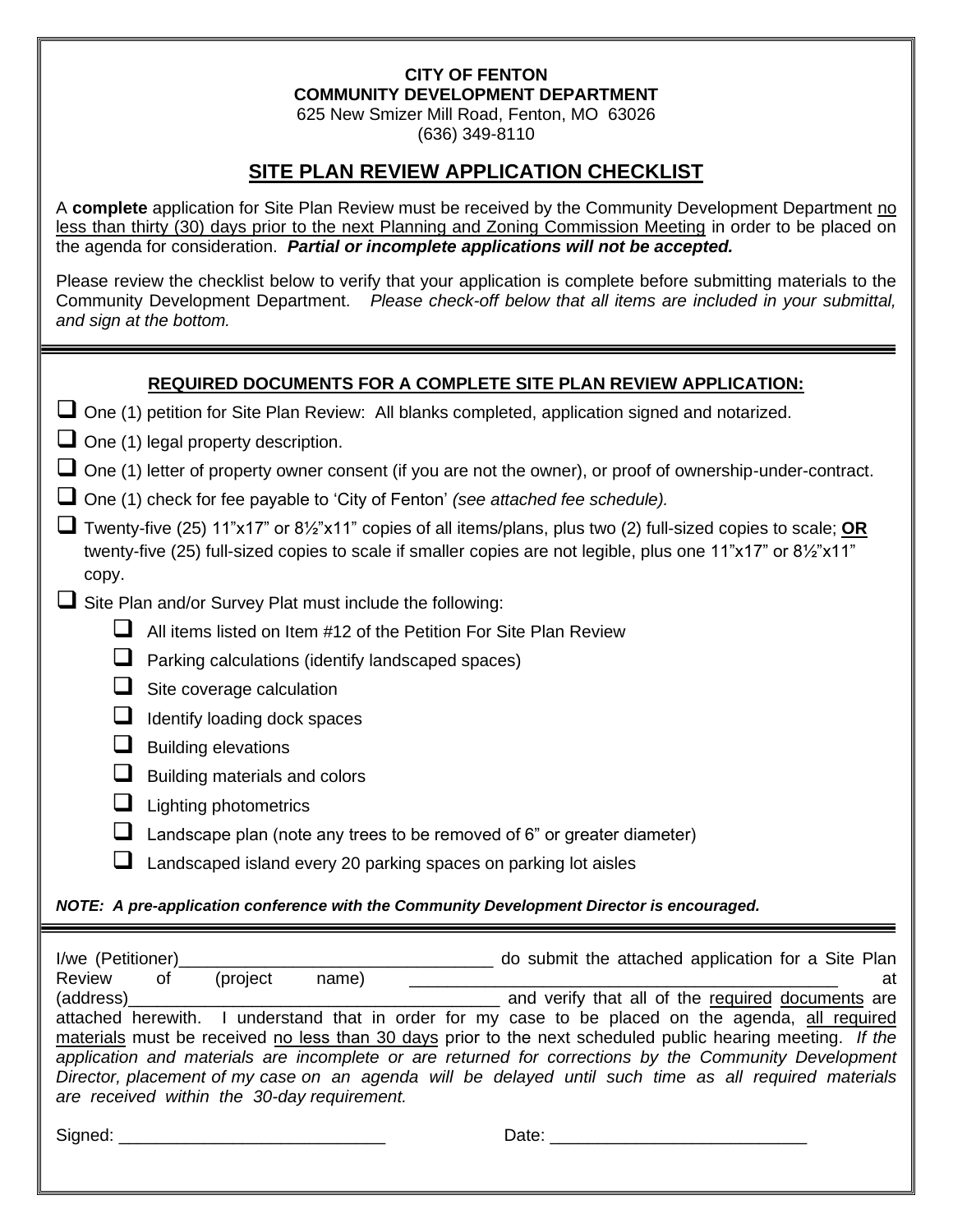#### **CITY OF FENTON COMMUNITY DEVELOPMENT DEPARTMENT**

625 New Smizer Mill Road, Fenton, MO 63026 (636) 349-8110

### **SITE PLAN REVIEW APPLICATION CHECKLIST**

A **complete** application for Site Plan Review must be received by the Community Development Department no less than thirty (30) days prior to the next Planning and Zoning Commission Meeting in order to be placed on the agenda for consideration. *Partial or incomplete applications will not be accepted.* 

Please review the checklist below to verify that your application is complete before submitting materials to the Community Development Department. *Please check-off below that all items are included in your submittal, and sign at the bottom.*

### **REQUIRED DOCUMENTS FOR A COMPLETE SITE PLAN REVIEW APPLICATION:**

- □ One (1) legal property description.
- One (1) letter of property owner consent (if you are not the owner), or proof of ownership-under-contract.
- ❑ One (1) check for fee payable to 'City of Fenton' *(see attached fee schedule).*
- ❑ Twenty-five (25) 11"x17" or 8½"x11" copies of all items/plans, plus two (2) full-sized copies to scale; **OR** twenty-five (25) full-sized copies to scale if smaller copies are not legible, plus one 11"x17" or 8½"x11" copy.
- $\Box$  Site Plan and/or Survey Plat must include the following:
	- ❑ All items listed on Item #12 of the Petition For Site Plan Review
	- ❑ Parking calculations (identify landscaped spaces)
	- □ Site coverage calculation
	- □ Identify loading dock spaces
	- □ Building elevations
	- Building materials and colors
	- ❑ Lighting photometrics
	- $\Box$  Landscape plan (note any trees to be removed of 6" or greater diameter)
	- ❑ Landscaped island every 20 parking spaces on parking lot aisles

### *NOTE: A pre-application conference with the Community Development Director is encouraged.*

| I/we (Petitioner)                                                                                          |    |          |       |  | do submit the attached application for a Site Plan                                                 |  |  |  |  |  |
|------------------------------------------------------------------------------------------------------------|----|----------|-------|--|----------------------------------------------------------------------------------------------------|--|--|--|--|--|
| Review                                                                                                     | οf | (project | name) |  | at                                                                                                 |  |  |  |  |  |
| (address)                                                                                                  |    |          |       |  | and verify that all of the required documents are                                                  |  |  |  |  |  |
|                                                                                                            |    |          |       |  | attached herewith. I understand that in order for my case to be placed on the agenda, all required |  |  |  |  |  |
| materials must be received no less than 30 days prior to the next scheduled public hearing meeting. If the |    |          |       |  |                                                                                                    |  |  |  |  |  |
| application and materials are incomplete or are returned for corrections by the Community Development      |    |          |       |  |                                                                                                    |  |  |  |  |  |
| Director, placement of my case on an agenda will be delayed until such time as all required materials      |    |          |       |  |                                                                                                    |  |  |  |  |  |
| are received within the 30-day requirement.                                                                |    |          |       |  |                                                                                                    |  |  |  |  |  |
|                                                                                                            |    |          |       |  |                                                                                                    |  |  |  |  |  |
| Signed:                                                                                                    |    |          |       |  | Date:                                                                                              |  |  |  |  |  |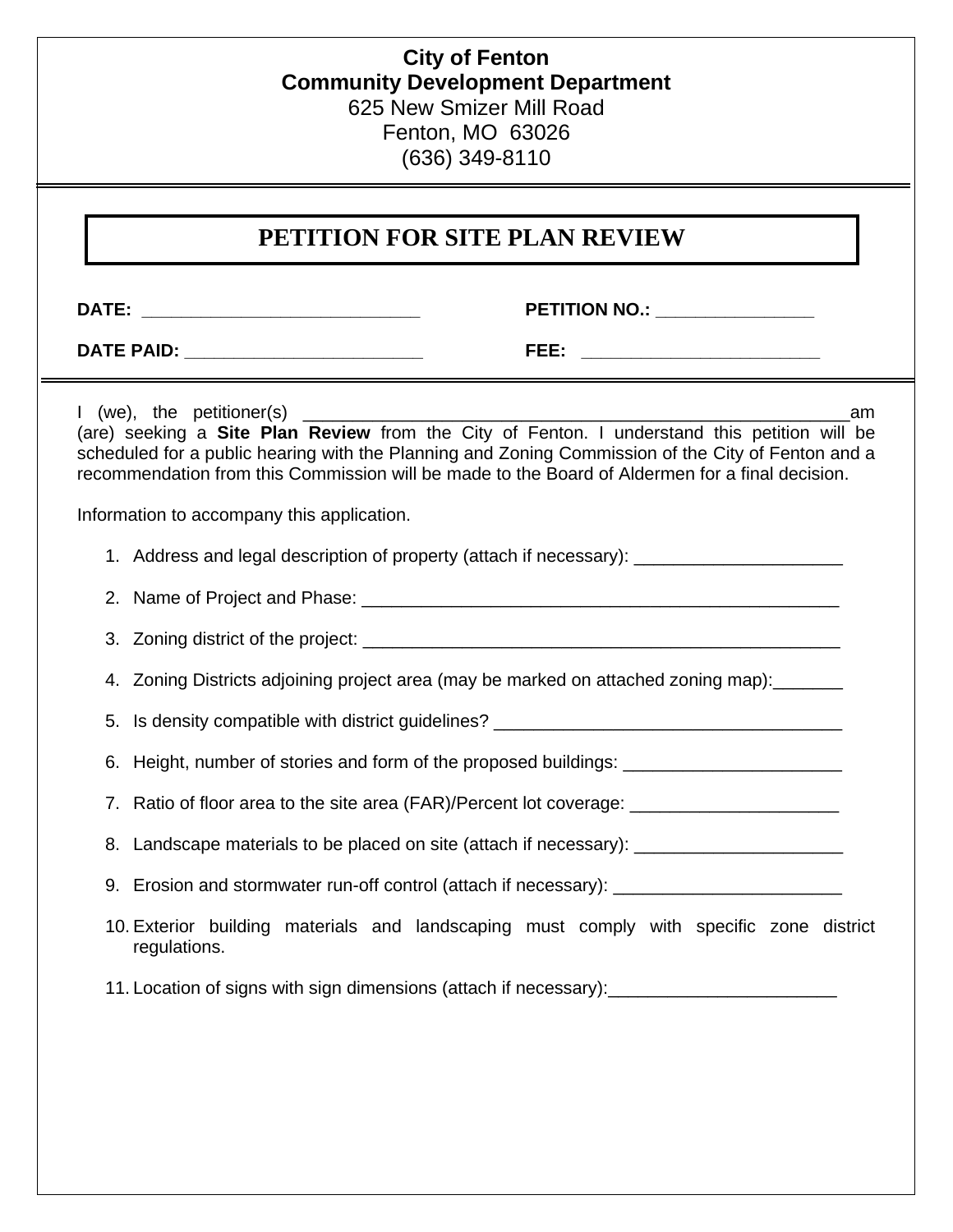### **City of Fenton Community Development Department** 625 New Smizer Mill Road Fenton, MO 63026 (636) 349-8110

### **PETITION FOR SITE PLAN REVIEW**

**DATE: \_\_\_\_\_\_\_\_\_\_\_\_\_\_\_\_\_\_\_\_\_\_\_\_\_\_\_\_ PETITION NO.: \_\_\_\_\_\_\_\_\_\_\_\_\_\_\_\_**

**DATE PAID: \_\_\_\_\_\_\_\_\_\_\_\_\_\_\_\_\_\_\_\_\_\_\_\_ FEE: \_\_\_\_\_\_\_\_\_\_\_\_\_\_\_\_\_\_\_\_\_\_\_\_** 

I (we), the petitioner(s) am (are) seeking a **Site Plan Review** from the City of Fenton. I understand this petition will be scheduled for a public hearing with the Planning and Zoning Commission of the City of Fenton and a recommendation from this Commission will be made to the Board of Aldermen for a final decision.

1. Address and legal description of property (attach if necessary):

- 2. Name of Project and Phase: \_\_\_\_\_\_\_\_\_\_\_\_\_\_\_\_\_\_\_\_\_\_\_\_\_\_\_\_\_\_\_\_\_\_\_\_\_\_\_\_\_\_\_\_\_\_\_\_
- 3. Zoning district of the project: \_\_\_\_\_\_\_\_\_\_\_\_\_\_\_\_\_\_\_\_\_\_\_\_\_\_\_\_\_\_\_\_\_\_\_\_\_\_\_\_\_\_\_\_\_\_\_\_
- 4. Zoning Districts adjoining project area (may be marked on attached zoning map):
- 5. Is density compatible with district guidelines?
- 6. Height, number of stories and form of the proposed buildings:
- 7. Ratio of floor area to the site area (FAR)/Percent lot coverage: \_\_\_\_\_\_\_\_\_\_\_\_\_\_\_\_\_\_\_
- 8. Landscape materials to be placed on site (attach if necessary): \_\_\_\_\_\_\_\_\_\_\_\_\_\_
- 9. Erosion and stormwater run-off control (attach if necessary): \_\_\_\_\_\_\_\_\_\_\_\_\_\_\_
- 10. Exterior building materials and landscaping must comply with specific zone district regulations.
- 11. Location of signs with sign dimensions (attach if necessary):

Information to accompany this application.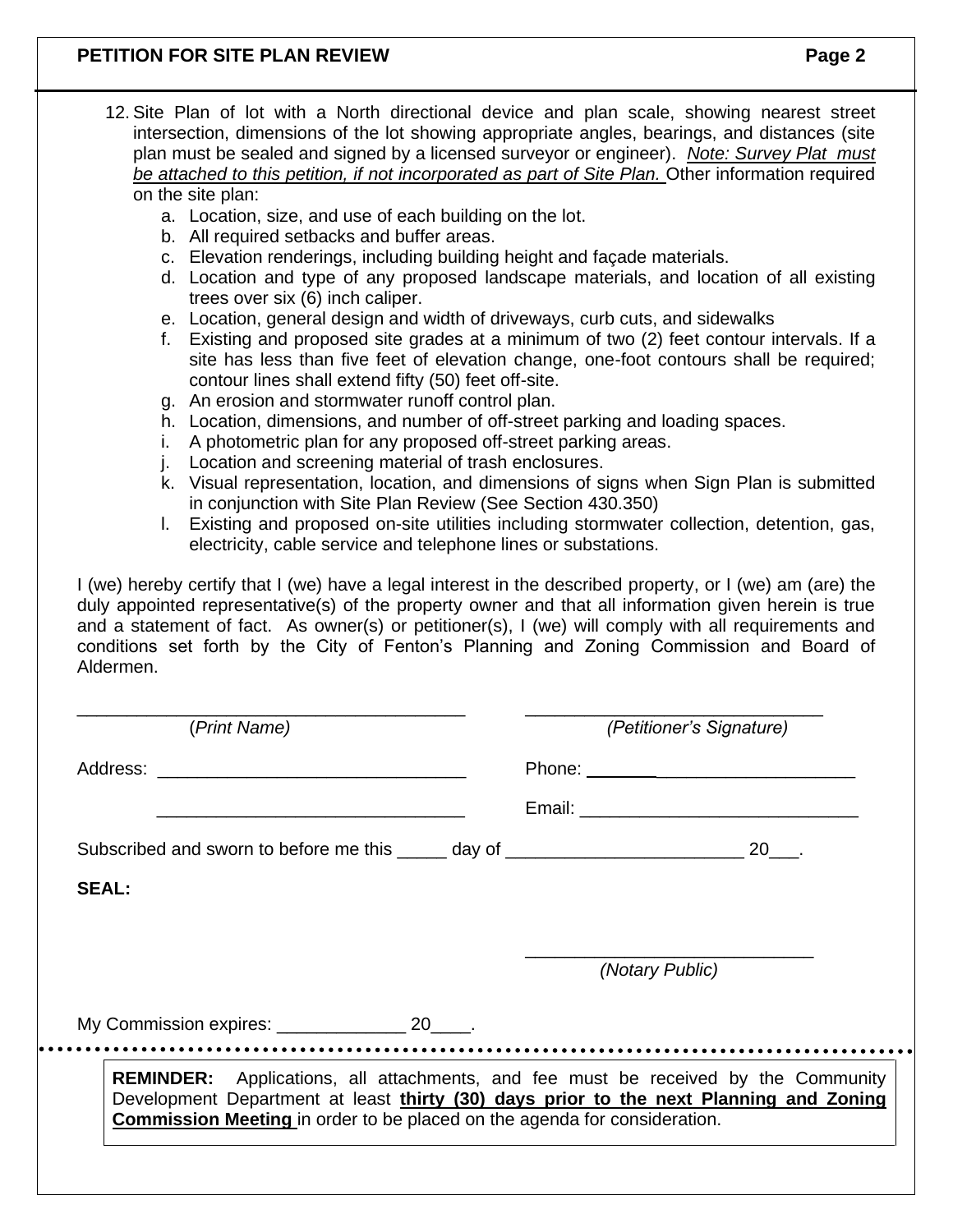### **PETITION FOR SITE PLAN REVIEW Page 2**

|                                                                                                                                                                                                                                | 12. Site Plan of lot with a North directional device and plan scale, showing nearest street<br>intersection, dimensions of the lot showing appropriate angles, bearings, and distances (site<br>plan must be sealed and signed by a licensed surveyor or engineer). Note: Survey Plat must<br>be attached to this petition, if not incorporated as part of Site Plan. Other information required<br>on the site plan: |  |                          |  |  |  |  |  |
|--------------------------------------------------------------------------------------------------------------------------------------------------------------------------------------------------------------------------------|-----------------------------------------------------------------------------------------------------------------------------------------------------------------------------------------------------------------------------------------------------------------------------------------------------------------------------------------------------------------------------------------------------------------------|--|--------------------------|--|--|--|--|--|
|                                                                                                                                                                                                                                | a. Location, size, and use of each building on the lot.                                                                                                                                                                                                                                                                                                                                                               |  |                          |  |  |  |  |  |
|                                                                                                                                                                                                                                | b. All required setbacks and buffer areas.                                                                                                                                                                                                                                                                                                                                                                            |  |                          |  |  |  |  |  |
|                                                                                                                                                                                                                                | c. Elevation renderings, including building height and façade materials.<br>d. Location and type of any proposed landscape materials, and location of all existing<br>trees over six (6) inch caliper.                                                                                                                                                                                                                |  |                          |  |  |  |  |  |
|                                                                                                                                                                                                                                | e. Location, general design and width of driveways, curb cuts, and sidewalks                                                                                                                                                                                                                                                                                                                                          |  |                          |  |  |  |  |  |
| f.                                                                                                                                                                                                                             | Existing and proposed site grades at a minimum of two (2) feet contour intervals. If a<br>site has less than five feet of elevation change, one-foot contours shall be required;<br>contour lines shall extend fifty (50) feet off-site.                                                                                                                                                                              |  |                          |  |  |  |  |  |
|                                                                                                                                                                                                                                | g. An erosion and stormwater runoff control plan.                                                                                                                                                                                                                                                                                                                                                                     |  |                          |  |  |  |  |  |
|                                                                                                                                                                                                                                | h. Location, dimensions, and number of off-street parking and loading spaces.                                                                                                                                                                                                                                                                                                                                         |  |                          |  |  |  |  |  |
|                                                                                                                                                                                                                                | A photometric plan for any proposed off-street parking areas.<br>i.                                                                                                                                                                                                                                                                                                                                                   |  |                          |  |  |  |  |  |
| j.<br>k.                                                                                                                                                                                                                       | Location and screening material of trash enclosures.                                                                                                                                                                                                                                                                                                                                                                  |  |                          |  |  |  |  |  |
|                                                                                                                                                                                                                                | Visual representation, location, and dimensions of signs when Sign Plan is submitted<br>in conjunction with Site Plan Review (See Section 430.350)                                                                                                                                                                                                                                                                    |  |                          |  |  |  |  |  |
| L.                                                                                                                                                                                                                             | Existing and proposed on-site utilities including stormwater collection, detention, gas,<br>electricity, cable service and telephone lines or substations.                                                                                                                                                                                                                                                            |  |                          |  |  |  |  |  |
| Aldermen.                                                                                                                                                                                                                      | I (we) hereby certify that I (we) have a legal interest in the described property, or I (we) am (are) the<br>duly appointed representative(s) of the property owner and that all information given herein is true<br>and a statement of fact. As owner(s) or petitioner(s), I (we) will comply with all requirements and<br>conditions set forth by the City of Fenton's Planning and Zoning Commission and Board of  |  |                          |  |  |  |  |  |
|                                                                                                                                                                                                                                | (Print Name)                                                                                                                                                                                                                                                                                                                                                                                                          |  | (Petitioner's Signature) |  |  |  |  |  |
| Address: Analysis and the contract of the contract of the contract of the contract of the contract of the contract of the contract of the contract of the contract of the contract of the contract of the contract of the cont |                                                                                                                                                                                                                                                                                                                                                                                                                       |  |                          |  |  |  |  |  |
|                                                                                                                                                                                                                                |                                                                                                                                                                                                                                                                                                                                                                                                                       |  |                          |  |  |  |  |  |
|                                                                                                                                                                                                                                | Subscribed and sworn to before me this _____ day of ____________________________ 20___.                                                                                                                                                                                                                                                                                                                               |  |                          |  |  |  |  |  |

**SEAL:**

\_\_\_\_\_\_\_\_\_\_\_\_\_\_\_\_\_\_\_\_\_\_\_\_\_\_\_\_\_ *(Notary Public)*

My Commission expires: \_\_\_\_\_\_\_\_\_\_\_\_\_\_\_ 20\_\_\_\_. 

**REMINDER:** Applications, all attachments, and fee must be received by the Community Development Department at least **thirty (30) days prior to the next Planning and Zoning Commission Meeting** in order to be placed on the agenda for consideration.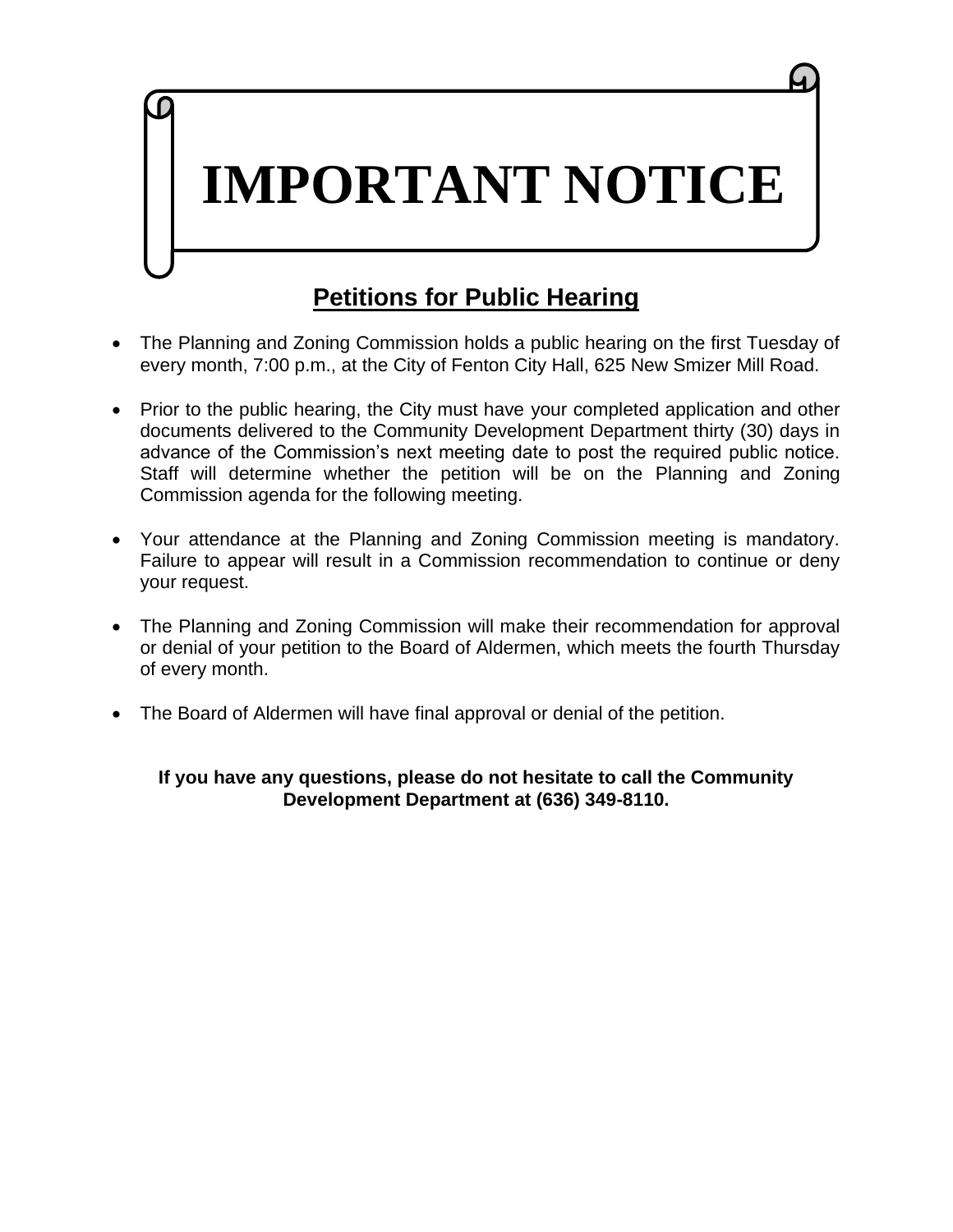# **IMPORTANT NOTICE**

# **Petitions for Public Hearing**

- The Planning and Zoning Commission holds a public hearing on the first Tuesday of every month, 7:00 p.m., at the City of Fenton City Hall, 625 New Smizer Mill Road.
- Prior to the public hearing, the City must have your completed application and other documents delivered to the Community Development Department thirty (30) days in advance of the Commission's next meeting date to post the required public notice. Staff will determine whether the petition will be on the Planning and Zoning Commission agenda for the following meeting.
- Your attendance at the Planning and Zoning Commission meeting is mandatory. Failure to appear will result in a Commission recommendation to continue or deny your request.
- The Planning and Zoning Commission will make their recommendation for approval or denial of your petition to the Board of Aldermen, which meets the fourth Thursday of every month.
- The Board of Aldermen will have final approval or denial of the petition.

### **If you have any questions, please do not hesitate to call the Community Development Department at (636) 349-8110.**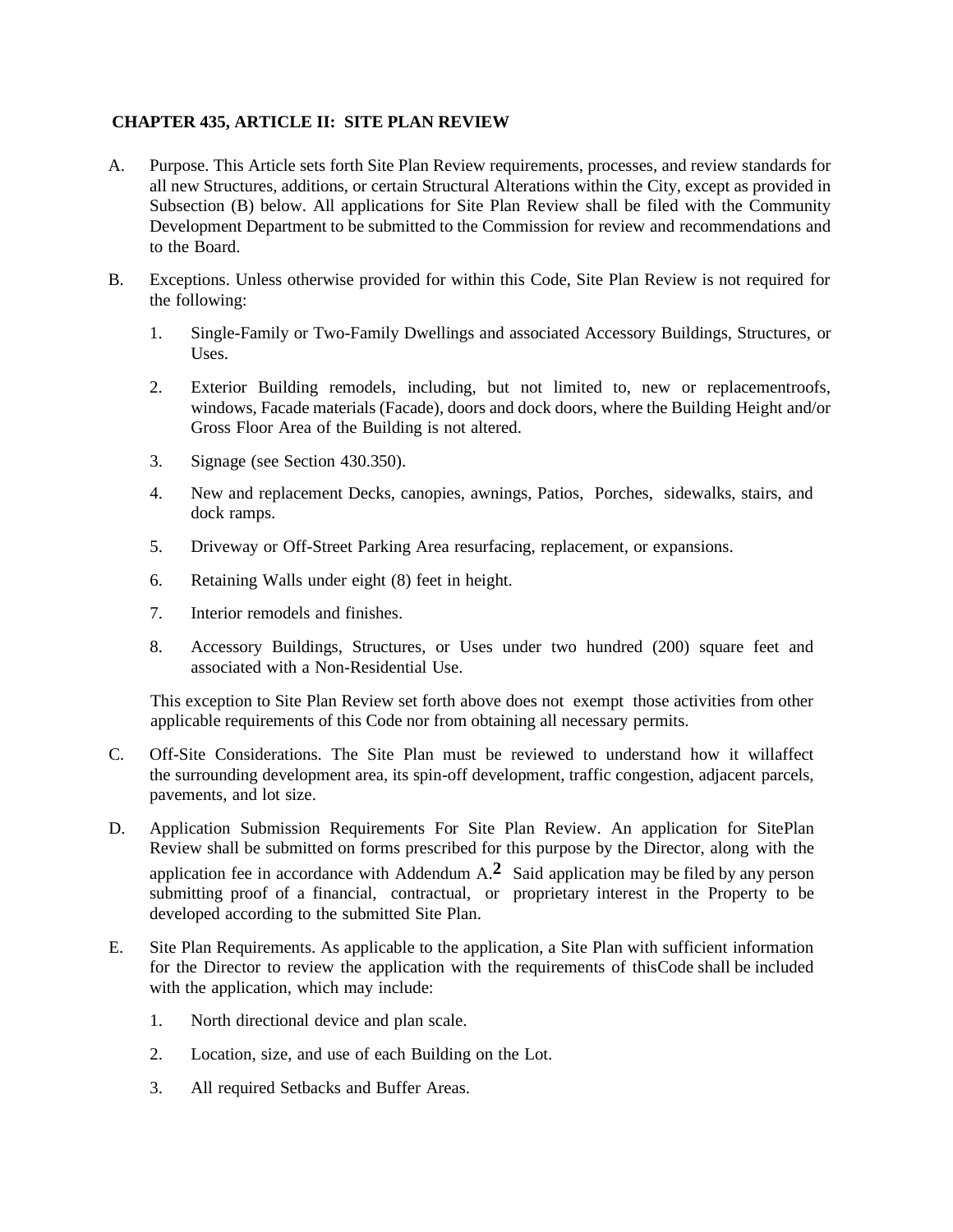### **CHAPTER 435, ARTICLE II: SITE PLAN REVIEW**

- A. Purpose. This Article sets forth Site Plan Review requirements, processes, and review standards for all new Structures, additions, or certain Structural Alterations within the City, except as provided in Subsection (B) below. All applications for Site Plan Review shall be filed with the Community Development Department to be submitted to the Commission for review and recommendations and to the Board.
- B. Exceptions. Unless otherwise provided for within this Code, Site Plan Review is not required for the following:
	- 1. Single-Family or Two-Family Dwellings and associated Accessory Buildings, Structures, or Uses.
	- 2. Exterior Building remodels, including, but not limited to, new or replacementroofs, windows, Facade materials (Facade), doors and dock doors, where the Building Height and/or Gross Floor Area of the Building is not altered.
	- 3. Signage (see Section 430.350).
	- 4. New and replacement Decks, canopies, awnings, Patios, Porches, sidewalks, stairs, and dock ramps.
	- 5. Driveway or Off-Street Parking Area resurfacing, replacement, or expansions.
	- 6. Retaining Walls under eight (8) feet in height.
	- 7. Interior remodels and finishes.
	- 8. Accessory Buildings, Structures, or Uses under two hundred (200) square feet and associated with a Non-Residential Use.

This exception to Site Plan Review set forth above does not exempt those activities from other applicable requirements of this Code nor from obtaining all necessary permits.

- C. Off-Site Considerations. The Site Plan must be reviewed to understand how it willaffect the surrounding development area, its spin-off development, traffic congestion, adjacent parcels, pavements, and lot size.
- D. Application Submission Requirements For Site Plan Review. An application for SitePlan Review shall be submitted on forms prescribed for this purpose by the Director, along with the application fee in accordance with Addendum A.**2** Said application may be filed by any person submitting proof of a financial, contractual, or proprietary interest in the Property to be developed according to the submitted Site Plan.
- E. Site Plan Requirements. As applicable to the application, a Site Plan with sufficient information for the Director to review the application with the requirements of thisCode shall be included with the application, which may include:
	- 1. North directional device and plan scale.
	- 2. Location, size, and use of each Building on the Lot.
	- 3. All required Setbacks and Buffer Areas.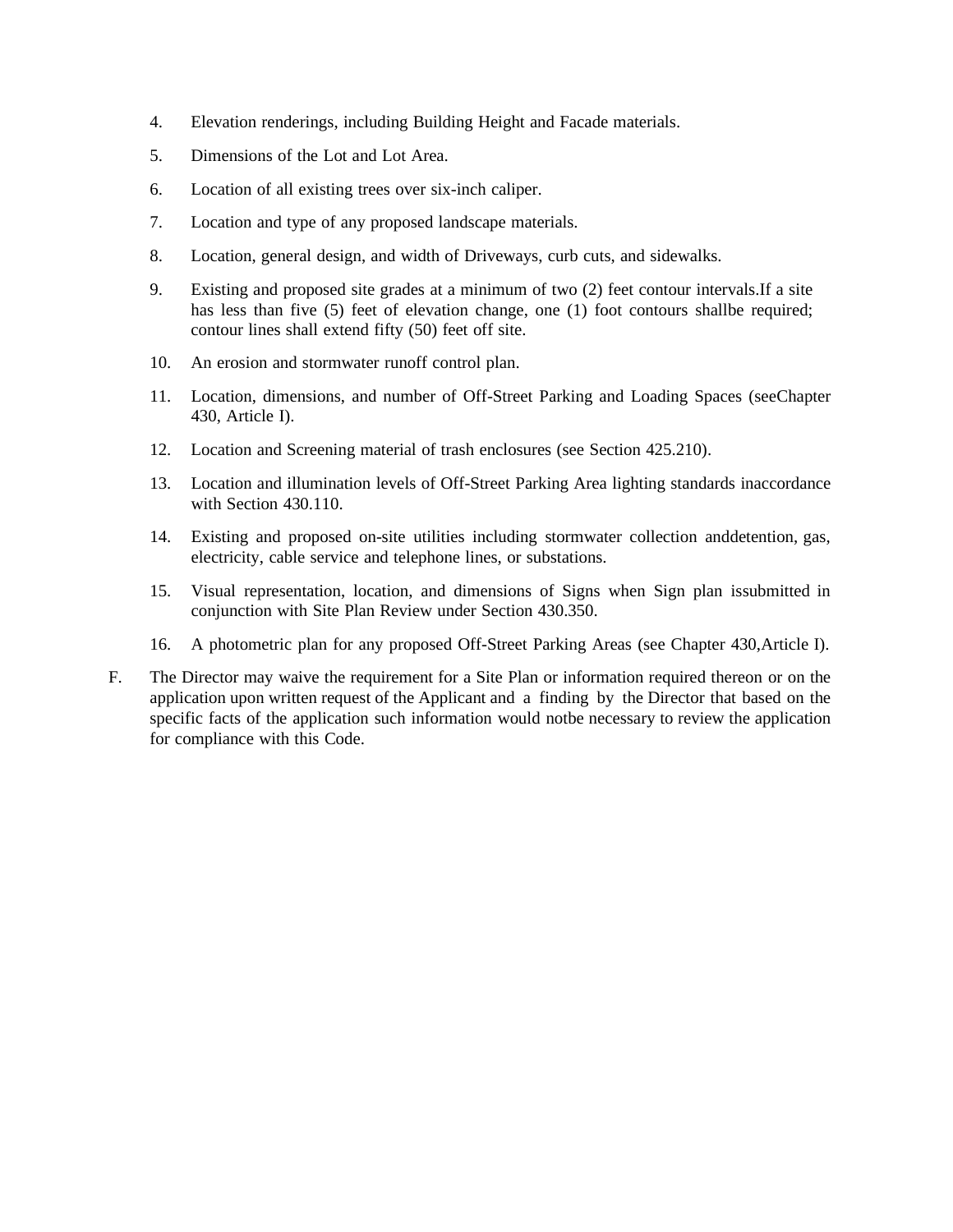- 4. Elevation renderings, including Building Height and Facade materials.
- 5. Dimensions of the Lot and Lot Area.
- 6. Location of all existing trees over six-inch caliper.
- 7. Location and type of any proposed landscape materials.
- 8. Location, general design, and width of Driveways, curb cuts, and sidewalks.
- 9. Existing and proposed site grades at a minimum of two (2) feet contour intervals.If a site has less than five (5) feet of elevation change, one (1) foot contours shallbe required; contour lines shall extend fifty (50) feet off site.
- 10. An erosion and stormwater runoff control plan.
- 11. Location, dimensions, and number of Off-Street Parking and Loading Spaces (seeChapter 430, Article I).
- 12. Location and Screening material of trash enclosures (see Section 425.210).
- 13. Location and illumination levels of Off-Street Parking Area lighting standards inaccordance with Section 430.110.
- 14. Existing and proposed on-site utilities including stormwater collection anddetention, gas, electricity, cable service and telephone lines, or substations.
- 15. Visual representation, location, and dimensions of Signs when Sign plan issubmitted in conjunction with Site Plan Review under Section 430.350.
- 16. A photometric plan for any proposed Off-Street Parking Areas (see Chapter 430,Article I).
- F. The Director may waive the requirement for a Site Plan or information required thereon or on the application upon written request of the Applicant and a finding by the Director that based on the specific facts of the application such information would notbe necessary to review the application for compliance with this Code.